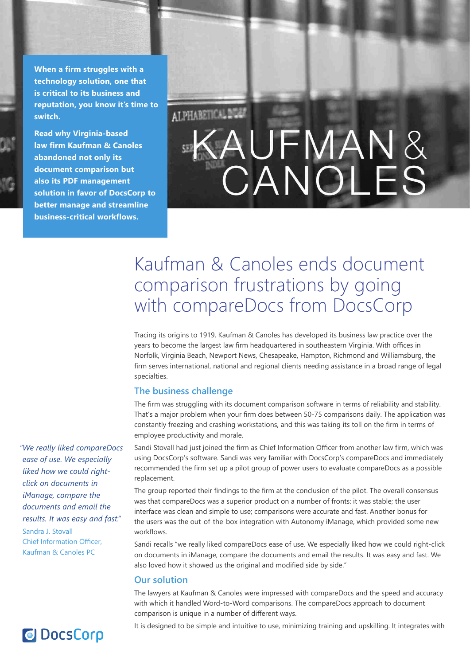**When a firm struggles with a technology solution, one that is critical to its business and reputation, you know it's time to switch.**

**Read why Virginia-based law firm Kaufman & Canoles abandoned not only its document comparison but also its PDF management solution in favor of DocsCorp to better manage and streamline business-critical workflows.**

# ALPHABETICAL DIGGS **CANOLES**

## Kaufman & Canoles ends document comparison frustrations by going with compareDocs from DocsCorp

Tracing its origins to 1919, Kaufman & Canoles has developed its business law practice over the years to become the largest law firm headquartered in southeastern Virginia. With offices in Norfolk, Virginia Beach, Newport News, Chesapeake, Hampton, Richmond and Williamsburg, the firm serves international, national and regional clients needing assistance in a broad range of legal specialties.

## **The business challenge**

The firm was struggling with its document comparison software in terms of reliability and stability. That's a major problem when your firm does between 50-75 comparisons daily. The application was constantly freezing and crashing workstations, and this was taking its toll on the firm in terms of employee productivity and morale.

Sandi Stovall had just joined the firm as Chief Information Officer from another law firm, which was using DocsCorp's software. Sandi was very familiar with DocsCorp's compareDocs and immediately recommended the firm set up a pilot group of power users to evaluate compareDocs as a possible replacement.

The group reported their findings to the firm at the conclusion of the pilot. The overall consensus was that compareDocs was a superior product on a number of fronts: it was stable; the user interface was clean and simple to use; comparisons were accurate and fast. Another bonus for the users was the out-of-the-box integration with Autonomy iManage, which provided some new workflows.

Sandi recalls "we really liked compareDocs ease of use. We especially liked how we could right-click on documents in iManage, compare the documents and email the results. It was easy and fast. We also loved how it showed us the original and modified side by side."

### **Our solution**

The lawyers at Kaufman & Canoles were impressed with compareDocs and the speed and accuracy with which it handled Word-to-Word comparisons. The compareDocs approach to document comparison is unique in a number of different ways.

*"We really liked compareDocs ease of use. We especially liked how we could rightclick on documents in iManage, compare the documents and email the results. It was easy and fast."* Sandra J. Stovall Chief Information Officer, Kaufman & Canoles PC

## **O** DocsCorp

It is designed to be simple and intuitive to use, minimizing training and upskilling. It integrates with